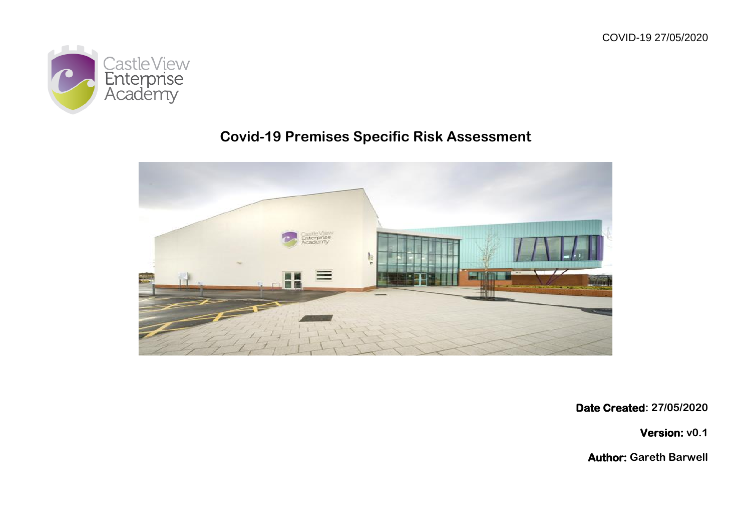

## **Covid-19 Premises Specific Risk Assessment**



**Date Created: 27/05/2020**

**Version: v0.1**

**Author: Gareth Barwell**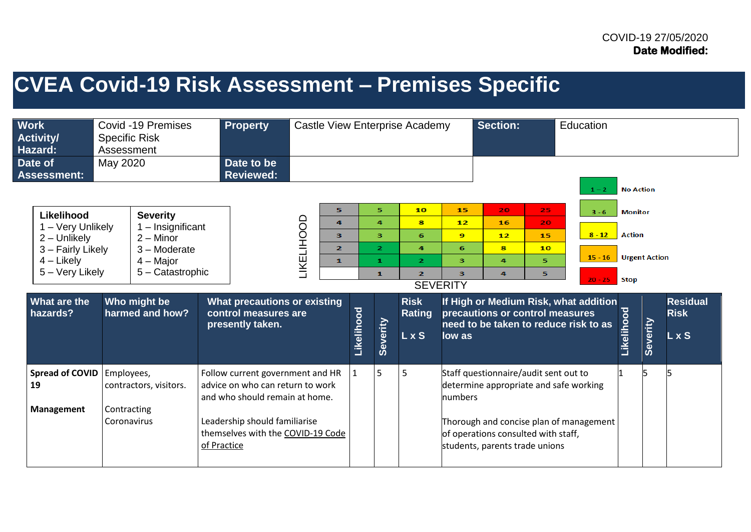# **CVEA Covid-19 Risk Assessment – Premises Specific**

| <b>Work</b><br><b>Activity/</b><br>Hazard:                                                                                          | <b>Specific Risk</b><br>Assessment       | Covid -19 Premises                                                                                                                          | Property<br>Castle View Enterprise Academy |                                                                                                                                                                              |                          |                                                            |              |                                                                            |                                                                                              |                                                           | <b>Section:</b>                                                                                                                                          |                                               | Education                                                                                                                       |                                                              |                                  |                                                |
|-------------------------------------------------------------------------------------------------------------------------------------|------------------------------------------|---------------------------------------------------------------------------------------------------------------------------------------------|--------------------------------------------|------------------------------------------------------------------------------------------------------------------------------------------------------------------------------|--------------------------|------------------------------------------------------------|--------------|----------------------------------------------------------------------------|----------------------------------------------------------------------------------------------|-----------------------------------------------------------|----------------------------------------------------------------------------------------------------------------------------------------------------------|-----------------------------------------------|---------------------------------------------------------------------------------------------------------------------------------|--------------------------------------------------------------|----------------------------------|------------------------------------------------|
| Date of<br><b>Assessment:</b>                                                                                                       | May 2020                                 |                                                                                                                                             |                                            | Date to be<br>Reviewed:                                                                                                                                                      |                          |                                                            |              |                                                                            |                                                                                              |                                                           |                                                                                                                                                          |                                               | $1 - 2$                                                                                                                         | <b>No Action</b>                                             |                                  |                                                |
| Likelihood<br>1 - Very Unlikely<br>2 - Unlikely<br>3 - Fairly Likely<br>$4$ – Likely<br>5 - Very Likely<br>What are the<br>hazards? |                                          | <b>Severity</b><br>1 - Insignificant<br>$2 -$ Minor<br>$3 -$ Moderate<br>$4 -$ Major<br>5 - Catastrophic<br>Who might be<br>harmed and how? |                                            | What precautions or existing<br>control measures are<br>presently taken.                                                                                                     | <b><i>LIKELIHOOD</i></b> | 5<br>$\overline{a}$<br>3<br>$\overline{2}$<br>$\mathbf{1}$ | Likelihood   | 5.<br>4<br>з<br>$\overline{2}$<br>$\mathbf{1}$<br>$\mathbf{1}$<br>Severity | 10<br>8<br>6<br>4<br>$\mathbf{z}$<br>$\overline{2}$<br><b>Risk</b><br><b>Rating</b><br>L x S | 15<br>12<br>9<br>6<br>з<br>3<br><b>SEVERITY</b><br>low as | 20<br>16<br>12<br>8<br>4<br>4<br>precautions or control measures                                                                                         | 25 <sub>1</sub><br>20.<br>15<br>10<br>5.<br>5 | $3 - 6$<br>$8 - 12$<br>$15 - 16$<br>$20 - 25$<br>If High or Medium Risk, what addition<br>need to be taken to reduce risk to as | <b>Monitor</b><br><b>Action</b><br><b>Stop</b><br>Likelihood | <b>Urgent Action</b><br>Severity | <b>Residual</b><br><b>Risk</b><br>$L \times S$ |
| <b>Spread of COVID</b><br>19<br>Management                                                                                          | Employees,<br>Contracting<br>Coronavirus | contractors, visitors.                                                                                                                      | of Practice                                | Follow current government and HR<br>advice on who can return to work<br>and who should remain at home.<br>Leadership should familiarise<br>themselves with the COVID-19 Code |                          |                                                            | $\mathbf{1}$ | 5                                                                          | 5                                                                                            | <b>Inumbers</b>                                           | Staff questionnaire/audit sent out to<br>determine appropriate and safe working<br>of operations consulted with staff,<br>students, parents trade unions |                                               | Thorough and concise plan of management                                                                                         |                                                              |                                  |                                                |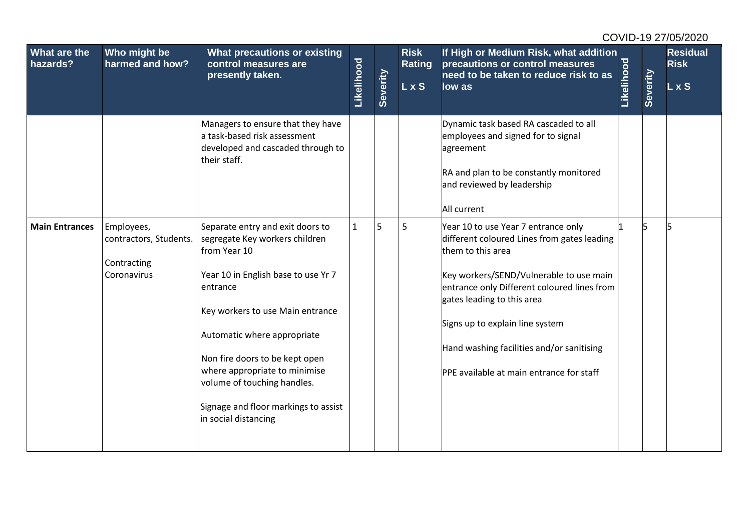| What are the<br>hazards? | Who might be<br>harmed and how?                                    | What precautions or existing<br>control measures are<br>presently taken.                                                                                                                                                                                                                                                                                                   | Likelihood   | Severity | <b>Risk</b><br><b>Rating</b><br>L x S | If High or Medium Risk, what addition<br>precautions or control measures<br>need to be taken to reduce risk to as<br>low as                                                                                                                                                                                                                                 | Likelihood | Severity | <b>Residual</b><br><b>Risk</b><br>$L \times S$ |
|--------------------------|--------------------------------------------------------------------|----------------------------------------------------------------------------------------------------------------------------------------------------------------------------------------------------------------------------------------------------------------------------------------------------------------------------------------------------------------------------|--------------|----------|---------------------------------------|-------------------------------------------------------------------------------------------------------------------------------------------------------------------------------------------------------------------------------------------------------------------------------------------------------------------------------------------------------------|------------|----------|------------------------------------------------|
|                          |                                                                    | Managers to ensure that they have<br>a task-based risk assessment<br>developed and cascaded through to<br>their staff.                                                                                                                                                                                                                                                     |              |          |                                       | Dynamic task based RA cascaded to all<br>employees and signed for to signal<br>agreement<br>RA and plan to be constantly monitored<br>and reviewed by leadership<br>All current                                                                                                                                                                             |            |          |                                                |
| <b>Main Entrances</b>    | Employees,<br>contractors, Students.<br>Contracting<br>Coronavirus | Separate entry and exit doors to<br>segregate Key workers children<br>from Year 10<br>Year 10 in English base to use Yr 7<br>entrance<br>Key workers to use Main entrance<br>Automatic where appropriate<br>Non fire doors to be kept open<br>where appropriate to minimise<br>volume of touching handles.<br>Signage and floor markings to assist<br>in social distancing | $\mathbf{1}$ | 5        | 5                                     | Year 10 to use Year 7 entrance only<br>different coloured Lines from gates leading<br>them to this area<br>Key workers/SEND/Vulnerable to use main<br>entrance only Different coloured lines from<br>gates leading to this area<br>Signs up to explain line system<br>Hand washing facilities and/or sanitising<br>PPE available at main entrance for staff |            |          |                                                |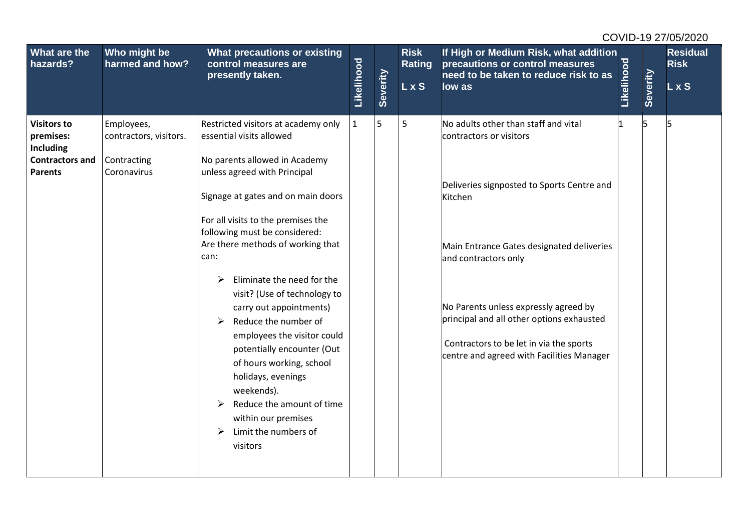| What are the<br>hazards?                                                                        | Who might be<br>harmed and how?                                    | What precautions or existing<br>control measures are<br>presently taken.                                                                                                                                                                                                                                                                                                                                                                                                                                                                                                                               |            |          | <b>Risk</b><br><b>Rating</b> | If High or Medium Risk, what addition<br>precautions or control measures<br>need to be taken to reduce risk to as                                                                                                                                                                                                                                                           |            |          | <b>Residual</b><br><b>Risk</b> |
|-------------------------------------------------------------------------------------------------|--------------------------------------------------------------------|--------------------------------------------------------------------------------------------------------------------------------------------------------------------------------------------------------------------------------------------------------------------------------------------------------------------------------------------------------------------------------------------------------------------------------------------------------------------------------------------------------------------------------------------------------------------------------------------------------|------------|----------|------------------------------|-----------------------------------------------------------------------------------------------------------------------------------------------------------------------------------------------------------------------------------------------------------------------------------------------------------------------------------------------------------------------------|------------|----------|--------------------------------|
|                                                                                                 |                                                                    |                                                                                                                                                                                                                                                                                                                                                                                                                                                                                                                                                                                                        | Likelihood | Severity | <b>LxS</b>                   | low as                                                                                                                                                                                                                                                                                                                                                                      | Likelihood | Severity | L x S                          |
| <b>Visitors to</b><br>premises:<br><b>Including</b><br><b>Contractors and</b><br><b>Parents</b> | Employees,<br>contractors, visitors.<br>Contracting<br>Coronavirus | Restricted visitors at academy only<br>essential visits allowed<br>No parents allowed in Academy<br>unless agreed with Principal<br>Signage at gates and on main doors<br>For all visits to the premises the<br>following must be considered:<br>Are there methods of working that<br>can:<br>Eliminate the need for the<br>➤<br>visit? (Use of technology to<br>carry out appointments)<br>Reduce the number of<br>➤<br>employees the visitor could<br>potentially encounter (Out<br>of hours working, school<br>holidays, evenings<br>weekends).<br>Reduce the amount of time<br>within our premises | 1          | 5        | 5                            | No adults other than staff and vital<br>contractors or visitors<br>Deliveries signposted to Sports Centre and<br>Kitchen<br>Main Entrance Gates designated deliveries<br>and contractors only<br>No Parents unless expressly agreed by<br>principal and all other options exhausted<br>Contractors to be let in via the sports<br>centre and agreed with Facilities Manager |            | 5        |                                |
|                                                                                                 |                                                                    | Limit the numbers of<br>➤<br>visitors                                                                                                                                                                                                                                                                                                                                                                                                                                                                                                                                                                  |            |          |                              |                                                                                                                                                                                                                                                                                                                                                                             |            |          |                                |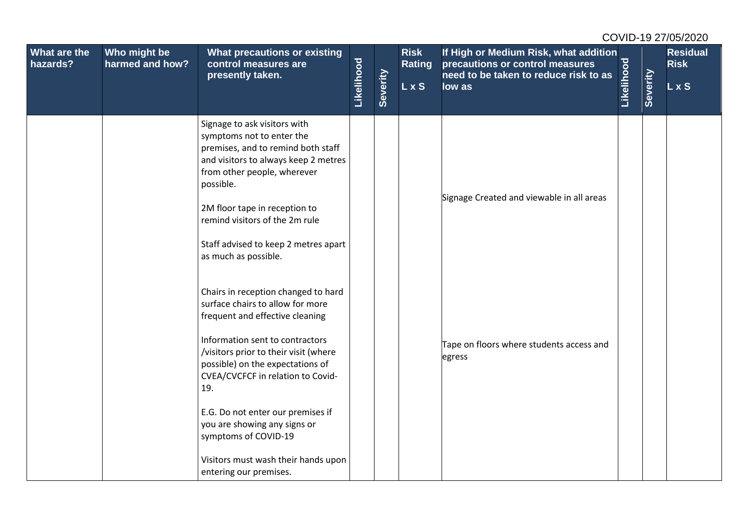| What are the<br>hazards? | Who might be<br>harmed and how? | <b>What precautions or existing</b><br>control measures are<br>presently taken.                                                                                                     |            |          | <b>Risk</b><br>Rating | If High or Medium Risk, what addition<br>precautions or control measures<br>need to be taken to reduce risk to as |            |          | <b>Residual</b><br><b>Risk</b> |
|--------------------------|---------------------------------|-------------------------------------------------------------------------------------------------------------------------------------------------------------------------------------|------------|----------|-----------------------|-------------------------------------------------------------------------------------------------------------------|------------|----------|--------------------------------|
|                          |                                 |                                                                                                                                                                                     | Likelihood | Severity | L x S                 | low as                                                                                                            | Likelihood | Severity | L x S                          |
|                          |                                 | Signage to ask visitors with<br>symptoms not to enter the<br>premises, and to remind both staff<br>and visitors to always keep 2 metres<br>from other people, wherever<br>possible. |            |          |                       |                                                                                                                   |            |          |                                |
|                          |                                 | 2M floor tape in reception to<br>remind visitors of the 2m rule                                                                                                                     |            |          |                       | Signage Created and viewable in all areas                                                                         |            |          |                                |
|                          |                                 | Staff advised to keep 2 metres apart<br>as much as possible.                                                                                                                        |            |          |                       |                                                                                                                   |            |          |                                |
|                          |                                 | Chairs in reception changed to hard<br>surface chairs to allow for more<br>frequent and effective cleaning                                                                          |            |          |                       |                                                                                                                   |            |          |                                |
|                          |                                 | Information sent to contractors<br>/visitors prior to their visit (where<br>possible) on the expectations of<br>CVEA/CVCFCF in relation to Covid-<br>19.                            |            |          |                       | Tape on floors where students access and<br>egress                                                                |            |          |                                |
|                          |                                 | E.G. Do not enter our premises if<br>you are showing any signs or<br>symptoms of COVID-19                                                                                           |            |          |                       |                                                                                                                   |            |          |                                |
|                          |                                 | Visitors must wash their hands upon<br>entering our premises.                                                                                                                       |            |          |                       |                                                                                                                   |            |          |                                |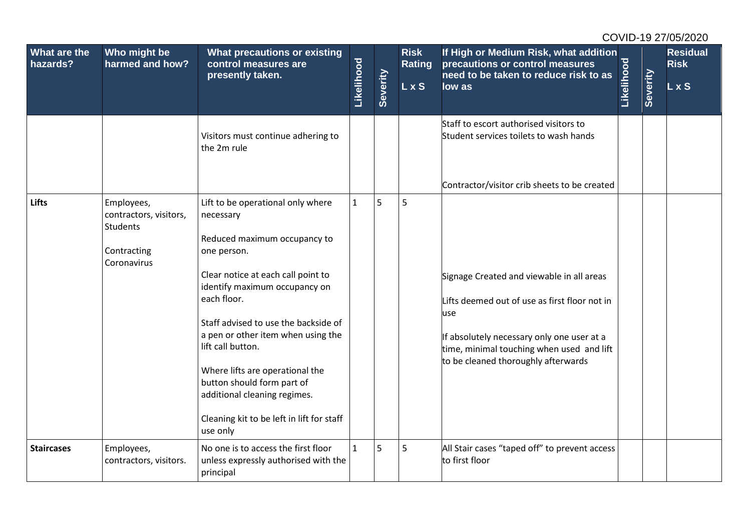| What are the<br>hazards? | Who might be<br>harmed and how?                                                | What precautions or existing<br>control measures are<br>presently taken.                                                                                                                                                                                                                                                                                                                                                                         |              |          | <b>Risk</b><br>Rating | If High or Medium Risk, what addition<br>precautions or control measures<br>need to be taken to reduce risk to as                                                                                                                                                                   |            |          | <b>Residual</b><br><b>Risk</b> |
|--------------------------|--------------------------------------------------------------------------------|--------------------------------------------------------------------------------------------------------------------------------------------------------------------------------------------------------------------------------------------------------------------------------------------------------------------------------------------------------------------------------------------------------------------------------------------------|--------------|----------|-----------------------|-------------------------------------------------------------------------------------------------------------------------------------------------------------------------------------------------------------------------------------------------------------------------------------|------------|----------|--------------------------------|
|                          |                                                                                |                                                                                                                                                                                                                                                                                                                                                                                                                                                  | Likelihood   | Severity | <b>LxS</b>            | low as                                                                                                                                                                                                                                                                              | Likelihood | Severity | L x S                          |
|                          |                                                                                | Visitors must continue adhering to<br>the 2m rule                                                                                                                                                                                                                                                                                                                                                                                                |              |          |                       | Staff to escort authorised visitors to<br>Student services toilets to wash hands                                                                                                                                                                                                    |            |          |                                |
| <b>Lifts</b>             | Employees,<br>contractors, visitors,<br>Students<br>Contracting<br>Coronavirus | Lift to be operational only where<br>necessary<br>Reduced maximum occupancy to<br>one person.<br>Clear notice at each call point to<br>identify maximum occupancy on<br>each floor.<br>Staff advised to use the backside of<br>a pen or other item when using the<br>lift call button.<br>Where lifts are operational the<br>button should form part of<br>additional cleaning regimes.<br>Cleaning kit to be left in lift for staff<br>use only | $\mathbf{1}$ | 5        | 5                     | Contractor/visitor crib sheets to be created<br>Signage Created and viewable in all areas<br>Lifts deemed out of use as first floor not in<br>use<br>If absolutely necessary only one user at a<br>time, minimal touching when used and lift<br>to be cleaned thoroughly afterwards |            |          |                                |
| <b>Staircases</b>        | Employees,<br>contractors, visitors.                                           | No one is to access the first floor<br>unless expressly authorised with the<br>principal                                                                                                                                                                                                                                                                                                                                                         | $\mathbf{1}$ | 5        | 5                     | All Stair cases "taped off" to prevent access<br>to first floor                                                                                                                                                                                                                     |            |          |                                |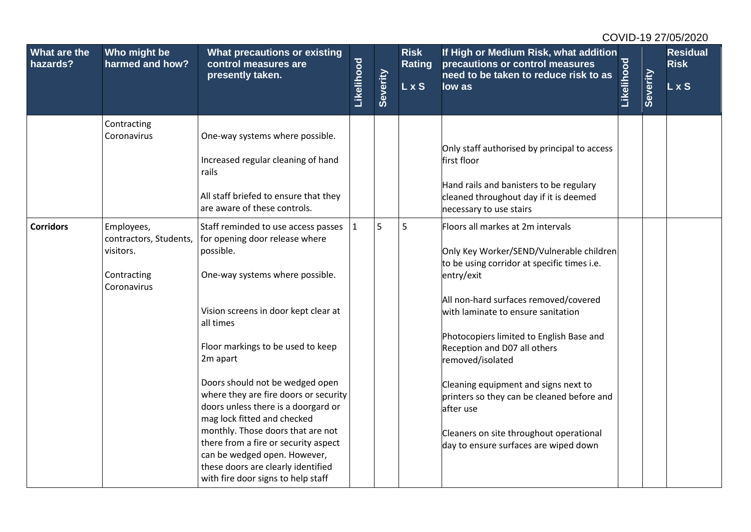| What are the<br>hazards? | Who might be<br>harmed and how?                                                 | What precautions or existing<br>control measures are<br>presently taken.                                                                                                                                                                                                                                                                                                                                                                      | <u>Likelihood</u> | Severity | <b>Risk</b><br>Rating<br><b>LxS</b> | If High or Medium Risk, what addition<br>precautions or control measures<br>need to be taken to reduce risk to as<br>low as                                                                                                                                                                                                                                        | Likelihood | Severity | <b>Residual</b><br><b>Risk</b><br>$L \times S$ |
|--------------------------|---------------------------------------------------------------------------------|-----------------------------------------------------------------------------------------------------------------------------------------------------------------------------------------------------------------------------------------------------------------------------------------------------------------------------------------------------------------------------------------------------------------------------------------------|-------------------|----------|-------------------------------------|--------------------------------------------------------------------------------------------------------------------------------------------------------------------------------------------------------------------------------------------------------------------------------------------------------------------------------------------------------------------|------------|----------|------------------------------------------------|
|                          | Contracting<br>Coronavirus                                                      | One-way systems where possible.<br>Increased regular cleaning of hand<br>rails<br>All staff briefed to ensure that they<br>are aware of these controls.                                                                                                                                                                                                                                                                                       |                   |          |                                     | Only staff authorised by principal to access<br>first floor<br>Hand rails and banisters to be regulary<br>cleaned throughout day if it is deemed<br>necessary to use stairs                                                                                                                                                                                        |            |          |                                                |
| <b>Corridors</b>         | Employees,<br>contractors, Students,<br>visitors.<br>Contracting<br>Coronavirus | Staff reminded to use access passes<br>for opening door release where<br>possible.<br>One-way systems where possible.                                                                                                                                                                                                                                                                                                                         | 1                 | 5        | 5                                   | Floors all markes at 2m intervals<br>Only Key Worker/SEND/Vulnerable children<br>to be using corridor at specific times i.e.<br>entry/exit                                                                                                                                                                                                                         |            |          |                                                |
|                          |                                                                                 | Vision screens in door kept clear at<br>all times<br>Floor markings to be used to keep<br>2m apart<br>Doors should not be wedged open<br>where they are fire doors or security<br>doors unless there is a doorgard or<br>mag lock fitted and checked<br>monthly. Those doors that are not<br>there from a fire or security aspect<br>can be wedged open. However,<br>these doors are clearly identified<br>with fire door signs to help staff |                   |          |                                     | All non-hard surfaces removed/covered<br>with laminate to ensure sanitation<br>Photocopiers limited to English Base and<br>Reception and D07 all others<br>removed/isolated<br>Cleaning equipment and signs next to<br>printers so they can be cleaned before and<br>after use<br>Cleaners on site throughout operational<br>day to ensure surfaces are wiped down |            |          |                                                |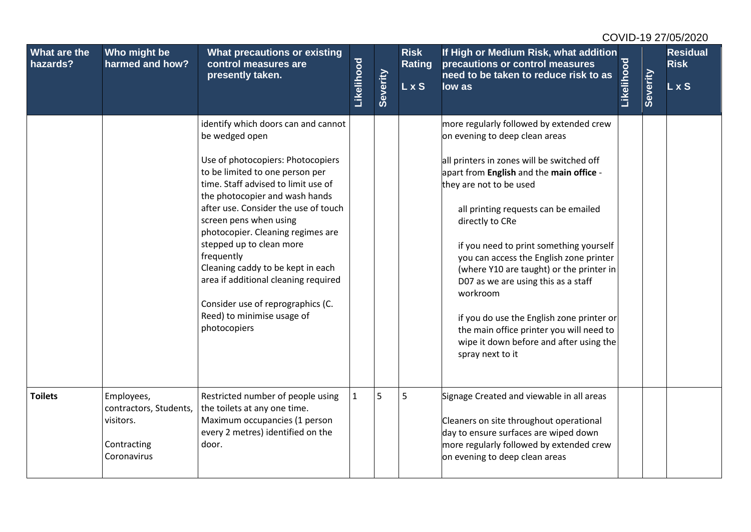| <b>What are the</b><br>hazards? | Who might be<br>harmed and how?                                                 | What precautions or existing<br>control measures are<br>presently taken.                                                                                                                                                                                                                                                                                                                                                                                                                                                | Likelihood   | Severity | <b>Risk</b><br><b>Rating</b><br>L x S | If High or Medium Risk, what addition<br>precautions or control measures<br>need to be taken to reduce risk to as<br>low as                                                                                                                                                                                                                                                                                                                                                                                                                                                                             | <b>Likelihood</b> | Severity | <b>Residual</b><br><b>Risk</b><br>L x S |
|---------------------------------|---------------------------------------------------------------------------------|-------------------------------------------------------------------------------------------------------------------------------------------------------------------------------------------------------------------------------------------------------------------------------------------------------------------------------------------------------------------------------------------------------------------------------------------------------------------------------------------------------------------------|--------------|----------|---------------------------------------|---------------------------------------------------------------------------------------------------------------------------------------------------------------------------------------------------------------------------------------------------------------------------------------------------------------------------------------------------------------------------------------------------------------------------------------------------------------------------------------------------------------------------------------------------------------------------------------------------------|-------------------|----------|-----------------------------------------|
|                                 |                                                                                 | identify which doors can and cannot<br>be wedged open<br>Use of photocopiers: Photocopiers<br>to be limited to one person per<br>time. Staff advised to limit use of<br>the photocopier and wash hands<br>after use. Consider the use of touch<br>screen pens when using<br>photocopier. Cleaning regimes are<br>stepped up to clean more<br>frequently<br>Cleaning caddy to be kept in each<br>area if additional cleaning required<br>Consider use of reprographics (C.<br>Reed) to minimise usage of<br>photocopiers |              |          |                                       | more regularly followed by extended crew<br>on evening to deep clean areas<br>all printers in zones will be switched off<br>apart from English and the main office -<br>they are not to be used<br>all printing requests can be emailed<br>directly to CRe<br>if you need to print something yourself<br>you can access the English zone printer<br>(where Y10 are taught) or the printer in<br>D07 as we are using this as a staff<br>workroom<br>if you do use the English zone printer or<br>the main office printer you will need to<br>wipe it down before and after using the<br>spray next to it |                   |          |                                         |
| <b>Toilets</b>                  | Employees,<br>contractors, Students,<br>visitors.<br>Contracting<br>Coronavirus | Restricted number of people using<br>the toilets at any one time.<br>Maximum occupancies (1 person<br>every 2 metres) identified on the<br>door.                                                                                                                                                                                                                                                                                                                                                                        | $\mathbf{1}$ | 5        | 5                                     | Signage Created and viewable in all areas<br>Cleaners on site throughout operational<br>day to ensure surfaces are wiped down<br>more regularly followed by extended crew<br>on evening to deep clean areas                                                                                                                                                                                                                                                                                                                                                                                             |                   |          |                                         |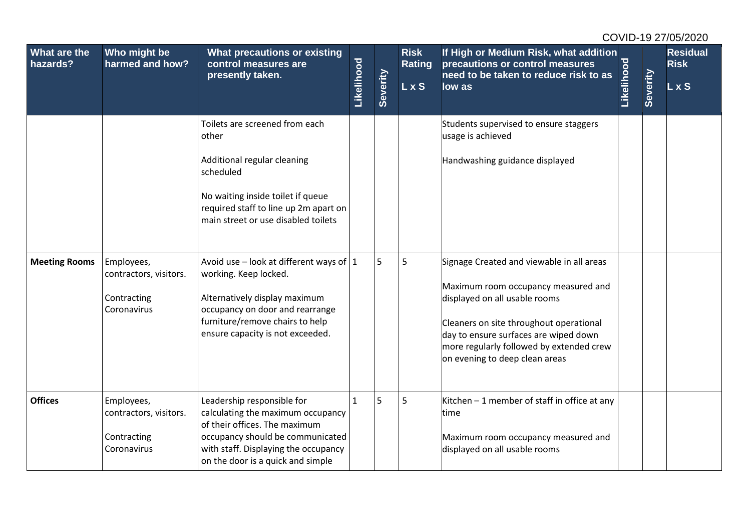| What are the<br>hazards? | Who might be<br>harmed and how?                                    | <b>What precautions or existing</b><br>control measures are<br>presently taken.                                                                                                                                   | Likelihood   | Severity | <b>Risk</b><br><b>Rating</b><br>L x S | If High or Medium Risk, what addition<br>precautions or control measures<br>need to be taken to reduce risk to as<br>low as                                                                                                                                                         | <u>Likelihood</u> | Severity | <b>Residual</b><br><b>Risk</b><br>L x S |
|--------------------------|--------------------------------------------------------------------|-------------------------------------------------------------------------------------------------------------------------------------------------------------------------------------------------------------------|--------------|----------|---------------------------------------|-------------------------------------------------------------------------------------------------------------------------------------------------------------------------------------------------------------------------------------------------------------------------------------|-------------------|----------|-----------------------------------------|
|                          |                                                                    | Toilets are screened from each<br>other<br>Additional regular cleaning<br>scheduled<br>No waiting inside toilet if queue<br>required staff to line up 2m apart on<br>main street or use disabled toilets          |              |          |                                       | Students supervised to ensure staggers<br>usage is achieved<br>Handwashing guidance displayed                                                                                                                                                                                       |                   |          |                                         |
| <b>Meeting Rooms</b>     | Employees,<br>contractors, visitors.<br>Contracting<br>Coronavirus | Avoid use – look at different ways of $ 1 $<br>working. Keep locked.<br>Alternatively display maximum<br>occupancy on door and rearrange<br>furniture/remove chairs to help<br>ensure capacity is not exceeded.   |              | 5        | 5                                     | Signage Created and viewable in all areas<br>Maximum room occupancy measured and<br>displayed on all usable rooms<br>Cleaners on site throughout operational<br>day to ensure surfaces are wiped down<br>more regularly followed by extended crew<br>on evening to deep clean areas |                   |          |                                         |
| <b>Offices</b>           | Employees,<br>contractors, visitors.<br>Contracting<br>Coronavirus | Leadership responsible for<br>calculating the maximum occupancy<br>of their offices. The maximum<br>occupancy should be communicated<br>with staff. Displaying the occupancy<br>on the door is a quick and simple | $\mathbf{1}$ | 5        | 5                                     | Kitchen $-1$ member of staff in office at any<br>time<br>Maximum room occupancy measured and<br>displayed on all usable rooms                                                                                                                                                       |                   |          |                                         |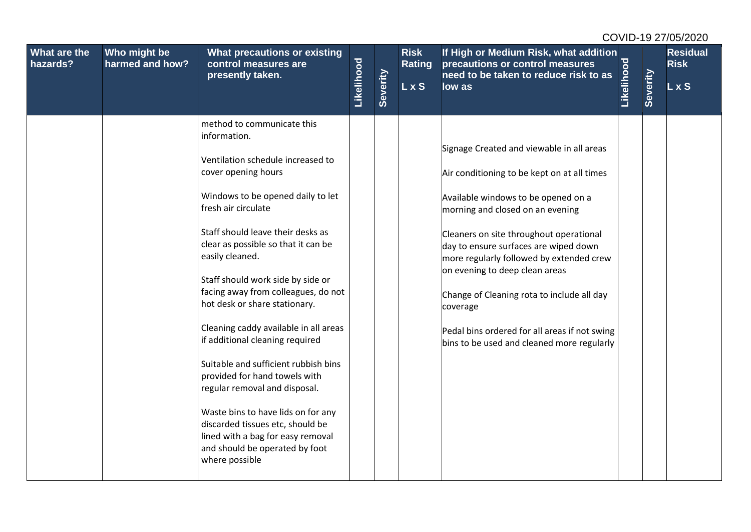| What are the<br>hazards? | Who might be<br>harmed and how? | <b>What precautions or existing</b><br>control measures are<br>presently taken.                                                                                                                                                                                                                                                                                                                                                                                                                                                                                                                                                                                                                                                         | Likelihood | Severity | <b>Risk</b><br><b>Rating</b><br>L x S | If High or Medium Risk, what addition<br>precautions or control measures<br>need to be taken to reduce risk to as<br>low as                                                                                                                                                                                                                                                                                                                                                                    | Likelihood | Severity | <b>Residual</b><br><b>Risk</b><br>L x S |
|--------------------------|---------------------------------|-----------------------------------------------------------------------------------------------------------------------------------------------------------------------------------------------------------------------------------------------------------------------------------------------------------------------------------------------------------------------------------------------------------------------------------------------------------------------------------------------------------------------------------------------------------------------------------------------------------------------------------------------------------------------------------------------------------------------------------------|------------|----------|---------------------------------------|------------------------------------------------------------------------------------------------------------------------------------------------------------------------------------------------------------------------------------------------------------------------------------------------------------------------------------------------------------------------------------------------------------------------------------------------------------------------------------------------|------------|----------|-----------------------------------------|
|                          |                                 | method to communicate this<br>information.<br>Ventilation schedule increased to<br>cover opening hours<br>Windows to be opened daily to let<br>fresh air circulate<br>Staff should leave their desks as<br>clear as possible so that it can be<br>easily cleaned.<br>Staff should work side by side or<br>facing away from colleagues, do not<br>hot desk or share stationary.<br>Cleaning caddy available in all areas<br>if additional cleaning required<br>Suitable and sufficient rubbish bins<br>provided for hand towels with<br>regular removal and disposal.<br>Waste bins to have lids on for any<br>discarded tissues etc, should be<br>lined with a bag for easy removal<br>and should be operated by foot<br>where possible |            |          |                                       | Signage Created and viewable in all areas<br>Air conditioning to be kept on at all times<br>Available windows to be opened on a<br>morning and closed on an evening<br>Cleaners on site throughout operational<br>day to ensure surfaces are wiped down<br>more regularly followed by extended crew<br>on evening to deep clean areas<br>Change of Cleaning rota to include all day<br>coverage<br>Pedal bins ordered for all areas if not swing<br>bins to be used and cleaned more regularly |            |          |                                         |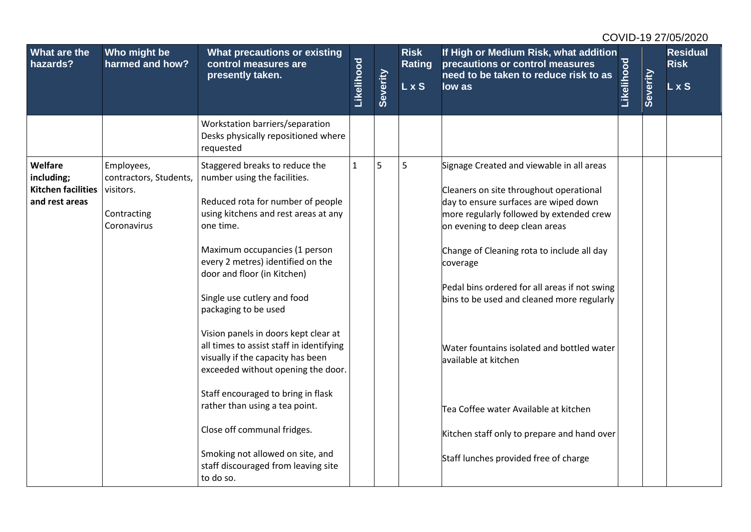| What are the<br>hazards?                                             | Who might be<br>harmed and how?                                                 | What precautions or existing<br>control measures are<br>presently taken.                                                                                                                                                                                                                                                                                                                                                                                                                                                                                                                                                                                                           | Likelihood   | Severity | <b>Risk</b><br><b>Rating</b><br><b>LxS</b> | If High or Medium Risk, what addition<br>precautions or control measures<br>need to be taken to reduce risk to as<br>low as                                                                                                                                                                                                                                                                                                                                                                                                                                                 | Likelihood | Severity | <b>Residual</b><br><b>Risk</b><br>L x S |
|----------------------------------------------------------------------|---------------------------------------------------------------------------------|------------------------------------------------------------------------------------------------------------------------------------------------------------------------------------------------------------------------------------------------------------------------------------------------------------------------------------------------------------------------------------------------------------------------------------------------------------------------------------------------------------------------------------------------------------------------------------------------------------------------------------------------------------------------------------|--------------|----------|--------------------------------------------|-----------------------------------------------------------------------------------------------------------------------------------------------------------------------------------------------------------------------------------------------------------------------------------------------------------------------------------------------------------------------------------------------------------------------------------------------------------------------------------------------------------------------------------------------------------------------------|------------|----------|-----------------------------------------|
|                                                                      |                                                                                 | Workstation barriers/separation<br>Desks physically repositioned where<br>requested                                                                                                                                                                                                                                                                                                                                                                                                                                                                                                                                                                                                |              |          |                                            |                                                                                                                                                                                                                                                                                                                                                                                                                                                                                                                                                                             |            |          |                                         |
| Welfare<br>including;<br><b>Kitchen facilities</b><br>and rest areas | Employees,<br>contractors, Students,<br>visitors.<br>Contracting<br>Coronavirus | Staggered breaks to reduce the<br>number using the facilities.<br>Reduced rota for number of people<br>using kitchens and rest areas at any<br>one time.<br>Maximum occupancies (1 person<br>every 2 metres) identified on the<br>door and floor (in Kitchen)<br>Single use cutlery and food<br>packaging to be used<br>Vision panels in doors kept clear at<br>all times to assist staff in identifying<br>visually if the capacity has been<br>exceeded without opening the door.<br>Staff encouraged to bring in flask<br>rather than using a tea point.<br>Close off communal fridges.<br>Smoking not allowed on site, and<br>staff discouraged from leaving site<br>to do so. | $\mathbf{1}$ | 5        | 5                                          | Signage Created and viewable in all areas<br>Cleaners on site throughout operational<br>day to ensure surfaces are wiped down<br>more regularly followed by extended crew<br>on evening to deep clean areas<br>Change of Cleaning rota to include all day<br>coverage<br>Pedal bins ordered for all areas if not swing<br>bins to be used and cleaned more regularly<br>Water fountains isolated and bottled water<br>available at kitchen<br>Tea Coffee water Available at kitchen<br>Kitchen staff only to prepare and hand over<br>Staff lunches provided free of charge |            |          |                                         |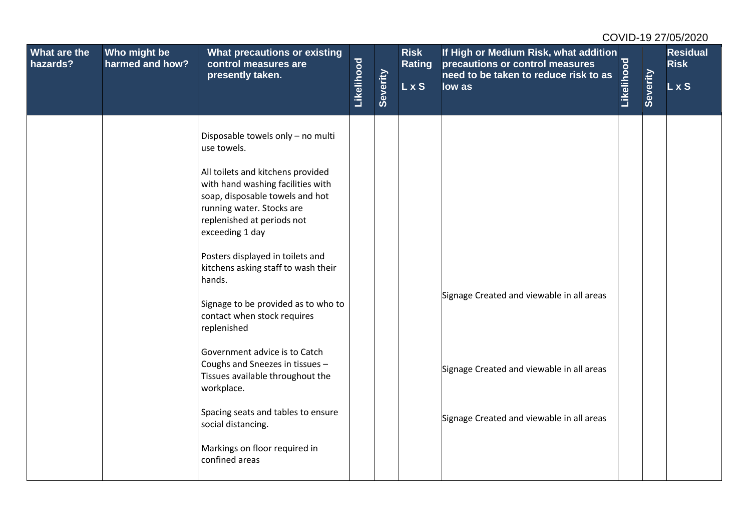| What are the<br>hazards? | Who might be<br>harmed and how? | <b>What precautions or existing</b><br>control measures are                                                                                                                                                                                                                                                                                                                                                                                                                                                                                                                                                                                                |            |          | <b>Risk</b><br>Rating | If High or Medium Risk, what addition<br>precautions or control measures<br>need to be taken to reduce risk to as                   |            |          | <b>Residual</b><br><b>Risk</b> |
|--------------------------|---------------------------------|------------------------------------------------------------------------------------------------------------------------------------------------------------------------------------------------------------------------------------------------------------------------------------------------------------------------------------------------------------------------------------------------------------------------------------------------------------------------------------------------------------------------------------------------------------------------------------------------------------------------------------------------------------|------------|----------|-----------------------|-------------------------------------------------------------------------------------------------------------------------------------|------------|----------|--------------------------------|
|                          |                                 | presently taken.                                                                                                                                                                                                                                                                                                                                                                                                                                                                                                                                                                                                                                           | Likelihood | Severity | L x S                 | low as                                                                                                                              | Likelihood | Severity | L x S                          |
|                          |                                 | Disposable towels only - no multi<br>use towels.<br>All toilets and kitchens provided<br>with hand washing facilities with<br>soap, disposable towels and hot<br>running water. Stocks are<br>replenished at periods not<br>exceeding 1 day<br>Posters displayed in toilets and<br>kitchens asking staff to wash their<br>hands.<br>Signage to be provided as to who to<br>contact when stock requires<br>replenished<br>Government advice is to Catch<br>Coughs and Sneezes in tissues -<br>Tissues available throughout the<br>workplace.<br>Spacing seats and tables to ensure<br>social distancing.<br>Markings on floor required in<br>confined areas |            |          |                       | Signage Created and viewable in all areas<br>Signage Created and viewable in all areas<br>Signage Created and viewable in all areas |            |          |                                |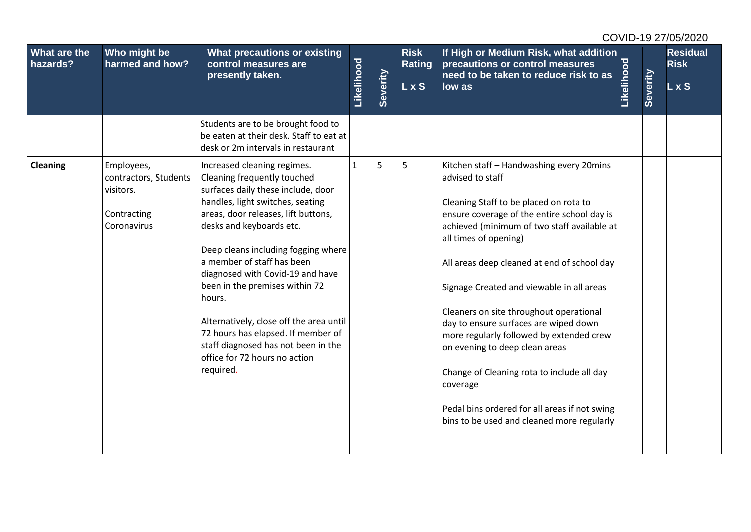| What are the<br>hazards? | Who might be<br>harmed and how?                                                | What precautions or existing<br>control measures are<br>presently taken.<br>Students are to be brought food to                                                                                                                                                                                                                                                                                                                                                                                                                     | Likelihood   | Severity | <b>Risk</b><br><b>Rating</b><br><b>LxS</b> | If High or Medium Risk, what addition<br>precautions or control measures<br>need to be taken to reduce risk to as<br>low as                                                                                                                                                                                                                                                                                                                                                                                                                                                                                                                          | Likelihood | Severity | <b>Residual</b><br><b>Risk</b><br>L x S |
|--------------------------|--------------------------------------------------------------------------------|------------------------------------------------------------------------------------------------------------------------------------------------------------------------------------------------------------------------------------------------------------------------------------------------------------------------------------------------------------------------------------------------------------------------------------------------------------------------------------------------------------------------------------|--------------|----------|--------------------------------------------|------------------------------------------------------------------------------------------------------------------------------------------------------------------------------------------------------------------------------------------------------------------------------------------------------------------------------------------------------------------------------------------------------------------------------------------------------------------------------------------------------------------------------------------------------------------------------------------------------------------------------------------------------|------------|----------|-----------------------------------------|
|                          |                                                                                | be eaten at their desk. Staff to eat at<br>desk or 2m intervals in restaurant                                                                                                                                                                                                                                                                                                                                                                                                                                                      |              |          |                                            |                                                                                                                                                                                                                                                                                                                                                                                                                                                                                                                                                                                                                                                      |            |          |                                         |
| <b>Cleaning</b>          | Employees,<br>contractors, Students<br>visitors.<br>Contracting<br>Coronavirus | Increased cleaning regimes.<br>Cleaning frequently touched<br>surfaces daily these include, door<br>handles, light switches, seating<br>areas, door releases, lift buttons,<br>desks and keyboards etc.<br>Deep cleans including fogging where<br>a member of staff has been<br>diagnosed with Covid-19 and have<br>been in the premises within 72<br>hours.<br>Alternatively, close off the area until<br>72 hours has elapsed. If member of<br>staff diagnosed has not been in the<br>office for 72 hours no action<br>required. | $\mathbf{1}$ | 5        | 5                                          | Kitchen staff - Handwashing every 20mins<br>advised to staff<br>Cleaning Staff to be placed on rota to<br>ensure coverage of the entire school day is<br>achieved (minimum of two staff available at<br>all times of opening)<br>All areas deep cleaned at end of school day<br>Signage Created and viewable in all areas<br>Cleaners on site throughout operational<br>day to ensure surfaces are wiped down<br>more regularly followed by extended crew<br>on evening to deep clean areas<br>Change of Cleaning rota to include all day<br>coverage<br>Pedal bins ordered for all areas if not swing<br>bins to be used and cleaned more regularly |            |          |                                         |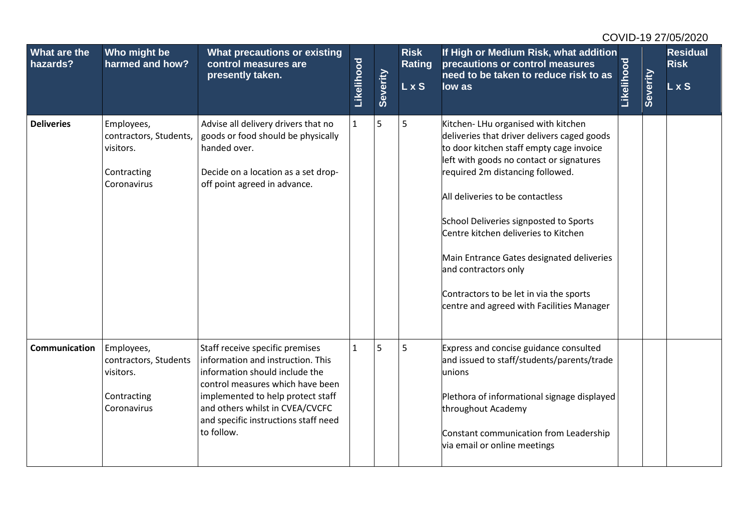| What are the<br>hazards? | Who might be<br>harmed and how?                                                 | What precautions or existing<br>control measures are<br>presently taken.                                                                                                                                                                                                 | Likelihood   | Severity | <b>Risk</b><br><b>Rating</b><br>L x S | If High or Medium Risk, what addition<br>precautions or control measures<br>need to be taken to reduce risk to as<br>low as                                                                                                                                                                                                                                                                                                                                                                      | Likelihood | Severity | <b>Residual</b><br><b>Risk</b><br>L x S |
|--------------------------|---------------------------------------------------------------------------------|--------------------------------------------------------------------------------------------------------------------------------------------------------------------------------------------------------------------------------------------------------------------------|--------------|----------|---------------------------------------|--------------------------------------------------------------------------------------------------------------------------------------------------------------------------------------------------------------------------------------------------------------------------------------------------------------------------------------------------------------------------------------------------------------------------------------------------------------------------------------------------|------------|----------|-----------------------------------------|
| <b>Deliveries</b>        | Employees,<br>contractors, Students,<br>visitors.<br>Contracting<br>Coronavirus | Advise all delivery drivers that no<br>goods or food should be physically<br>handed over.<br>Decide on a location as a set drop-<br>off point agreed in advance.                                                                                                         | $\mathbf{1}$ | 5        | 5                                     | Kitchen-LHu organised with kitchen<br>deliveries that driver delivers caged goods<br>to door kitchen staff empty cage invoice<br>left with goods no contact or signatures<br>required 2m distancing followed.<br>All deliveries to be contactless<br>School Deliveries signposted to Sports<br>Centre kitchen deliveries to Kitchen<br>Main Entrance Gates designated deliveries<br>and contractors only<br>Contractors to be let in via the sports<br>centre and agreed with Facilities Manager |            |          |                                         |
| Communication            | Employees,<br>contractors, Students<br>visitors.<br>Contracting<br>Coronavirus  | Staff receive specific premises<br>information and instruction. This<br>information should include the<br>control measures which have been<br>implemented to help protect staff<br>and others whilst in CVEA/CVCFC<br>and specific instructions staff need<br>to follow. | $\mathbf{1}$ | 5        | 5                                     | Express and concise guidance consulted<br>and issued to staff/students/parents/trade<br>unions<br>Plethora of informational signage displayed<br>throughout Academy<br>Constant communication from Leadership<br>via email or online meetings                                                                                                                                                                                                                                                    |            |          |                                         |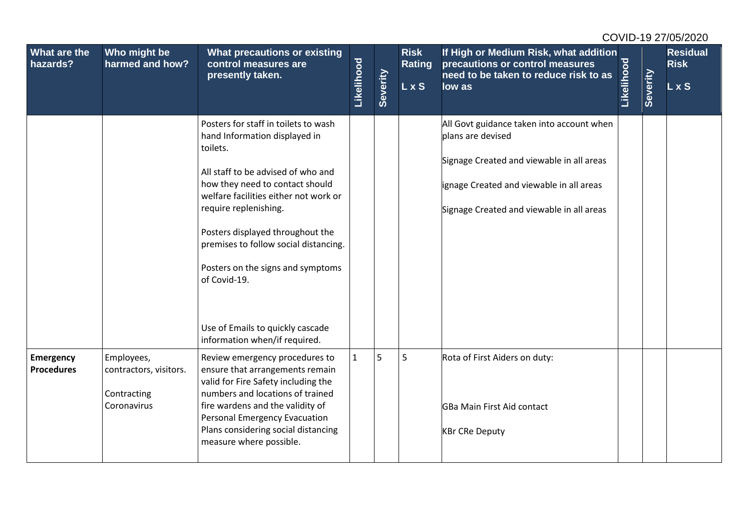| What are the<br>hazards?              | Who might be<br>harmed and how?                                    | What precautions or existing<br>control measures are<br>presently taken.                                                                                                                                                                                                                                                                                                                                                            | Likelihood   | Severity | <b>Risk</b><br><b>Rating</b><br><b>LxS</b> | If High or Medium Risk, what addition<br>precautions or control measures<br>need to be taken to reduce risk to as<br>low as                                                                          | Likelihood | <b>Severity</b> | <b>Residual</b><br><b>Risk</b><br>$L \times S$ |
|---------------------------------------|--------------------------------------------------------------------|-------------------------------------------------------------------------------------------------------------------------------------------------------------------------------------------------------------------------------------------------------------------------------------------------------------------------------------------------------------------------------------------------------------------------------------|--------------|----------|--------------------------------------------|------------------------------------------------------------------------------------------------------------------------------------------------------------------------------------------------------|------------|-----------------|------------------------------------------------|
|                                       |                                                                    | Posters for staff in toilets to wash<br>hand Information displayed in<br>toilets.<br>All staff to be advised of who and<br>how they need to contact should<br>welfare facilities either not work or<br>require replenishing.<br>Posters displayed throughout the<br>premises to follow social distancing.<br>Posters on the signs and symptoms<br>of Covid-19.<br>Use of Emails to quickly cascade<br>information when/if required. |              |          |                                            | All Govt guidance taken into account when<br>plans are devised<br>Signage Created and viewable in all areas<br>ignage Created and viewable in all areas<br>Signage Created and viewable in all areas |            |                 |                                                |
| <b>Emergency</b><br><b>Procedures</b> | Employees,<br>contractors, visitors.<br>Contracting<br>Coronavirus | Review emergency procedures to<br>ensure that arrangements remain<br>valid for Fire Safety including the<br>numbers and locations of trained<br>fire wardens and the validity of<br><b>Personal Emergency Evacuation</b><br>Plans considering social distancing<br>measure where possible.                                                                                                                                          | $\mathbf{1}$ | 5        | 5                                          | Rota of First Aiders on duty:<br>GBa Main First Aid contact<br><b>KBr CRe Deputy</b>                                                                                                                 |            |                 |                                                |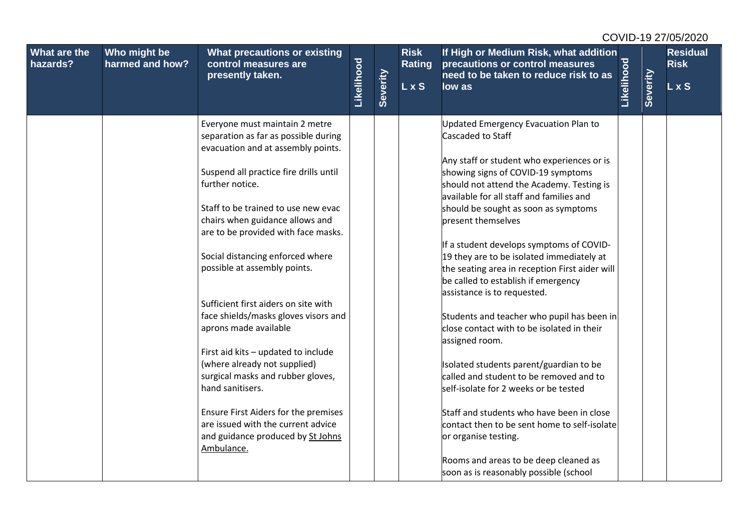| What are the<br>hazards? | Who might be<br>harmed and how? | <b>What precautions or existing</b><br>control measures are<br>presently taken.                               |            |          | <b>Risk</b><br>Rating<br>L x S | If High or Medium Risk, what addition<br>precautions or control measures<br>need to be taken to reduce risk to as                                                         | Likelihood |          | <b>Residual</b><br><b>Risk</b> |
|--------------------------|---------------------------------|---------------------------------------------------------------------------------------------------------------|------------|----------|--------------------------------|---------------------------------------------------------------------------------------------------------------------------------------------------------------------------|------------|----------|--------------------------------|
|                          |                                 |                                                                                                               | Likelihood | Severity |                                | low as                                                                                                                                                                    |            | Severity | L x S                          |
|                          |                                 | Everyone must maintain 2 metre<br>separation as far as possible during<br>evacuation and at assembly points.  |            |          |                                | <b>Updated Emergency Evacuation Plan to</b><br>Cascaded to Staff                                                                                                          |            |          |                                |
|                          |                                 | Suspend all practice fire drills until<br>further notice.                                                     |            |          |                                | Any staff or student who experiences or is<br>showing signs of COVID-19 symptoms<br>should not attend the Academy. Testing is<br>available for all staff and families and |            |          |                                |
|                          |                                 | Staff to be trained to use new evac<br>chairs when guidance allows and<br>are to be provided with face masks. |            |          |                                | should be sought as soon as symptoms<br>present themselves                                                                                                                |            |          |                                |
|                          |                                 | Social distancing enforced where<br>possible at assembly points.                                              |            |          |                                | If a student develops symptoms of COVID-<br>19 they are to be isolated immediately at<br>the seating area in reception First aider will                                   |            |          |                                |
|                          |                                 | Sufficient first aiders on site with                                                                          |            |          |                                | be called to establish if emergency<br>assistance is to requested.                                                                                                        |            |          |                                |
|                          |                                 | face shields/masks gloves visors and<br>aprons made available                                                 |            |          |                                | Students and teacher who pupil has been in<br>close contact with to be isolated in their<br>assigned room.                                                                |            |          |                                |
|                          |                                 | First aid kits - updated to include<br>(where already not supplied)<br>surgical masks and rubber gloves,      |            |          |                                | Isolated students parent/guardian to be<br>called and student to be removed and to                                                                                        |            |          |                                |
|                          |                                 | hand sanitisers.<br>Ensure First Aiders for the premises                                                      |            |          |                                | self-isolate for 2 weeks or be tested<br>Staff and students who have been in close                                                                                        |            |          |                                |
|                          |                                 | are issued with the current advice<br>and guidance produced by St Johns<br>Ambulance.                         |            |          |                                | contact then to be sent home to self-isolate<br>or organise testing.                                                                                                      |            |          |                                |
|                          |                                 |                                                                                                               |            |          |                                | Rooms and areas to be deep cleaned as<br>soon as is reasonably possible (school                                                                                           |            |          |                                |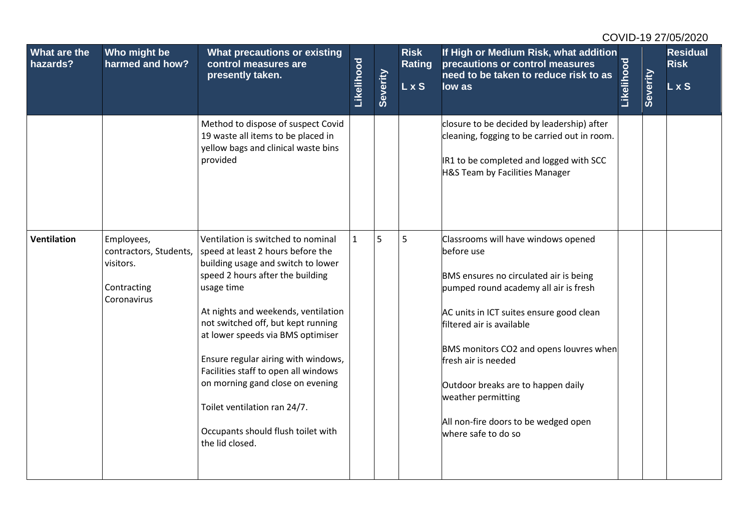| What are the<br>hazards? | Who might be<br>harmed and how?                                                 | What precautions or existing<br>control measures are<br>presently taken.                                                                                                                                                                                                                                                                                                                                                                                                                      | Likelihood   | Severity | <b>Risk</b><br><b>Rating</b><br>L x S | If High or Medium Risk, what addition<br>precautions or control measures<br>need to be taken to reduce risk to as<br>low as                                                                                                                                                                                                                                                                                | Likelihood | Severity | <b>Residual</b><br><b>Risk</b><br>L x S |
|--------------------------|---------------------------------------------------------------------------------|-----------------------------------------------------------------------------------------------------------------------------------------------------------------------------------------------------------------------------------------------------------------------------------------------------------------------------------------------------------------------------------------------------------------------------------------------------------------------------------------------|--------------|----------|---------------------------------------|------------------------------------------------------------------------------------------------------------------------------------------------------------------------------------------------------------------------------------------------------------------------------------------------------------------------------------------------------------------------------------------------------------|------------|----------|-----------------------------------------|
|                          |                                                                                 | Method to dispose of suspect Covid<br>19 waste all items to be placed in<br>yellow bags and clinical waste bins<br>provided                                                                                                                                                                                                                                                                                                                                                                   |              |          |                                       | closure to be decided by leadership) after<br>cleaning, fogging to be carried out in room.<br>IR1 to be completed and logged with SCC<br>H&S Team by Facilities Manager                                                                                                                                                                                                                                    |            |          |                                         |
| <b>Ventilation</b>       | Employees,<br>contractors, Students,<br>visitors.<br>Contracting<br>Coronavirus | Ventilation is switched to nominal<br>speed at least 2 hours before the<br>building usage and switch to lower<br>speed 2 hours after the building<br>usage time<br>At nights and weekends, ventilation<br>not switched off, but kept running<br>at lower speeds via BMS optimiser<br>Ensure regular airing with windows,<br>Facilities staff to open all windows<br>on morning gand close on evening<br>Toilet ventilation ran 24/7.<br>Occupants should flush toilet with<br>the lid closed. | $\mathbf{1}$ | 5        | 5                                     | Classrooms will have windows opened<br>before use<br>BMS ensures no circulated air is being<br>pumped round academy all air is fresh<br>AC units in ICT suites ensure good clean<br>filtered air is available<br>BMS monitors CO2 and opens louvres when<br>fresh air is needed<br>Outdoor breaks are to happen daily<br>weather permitting<br>All non-fire doors to be wedged open<br>where safe to do so |            |          |                                         |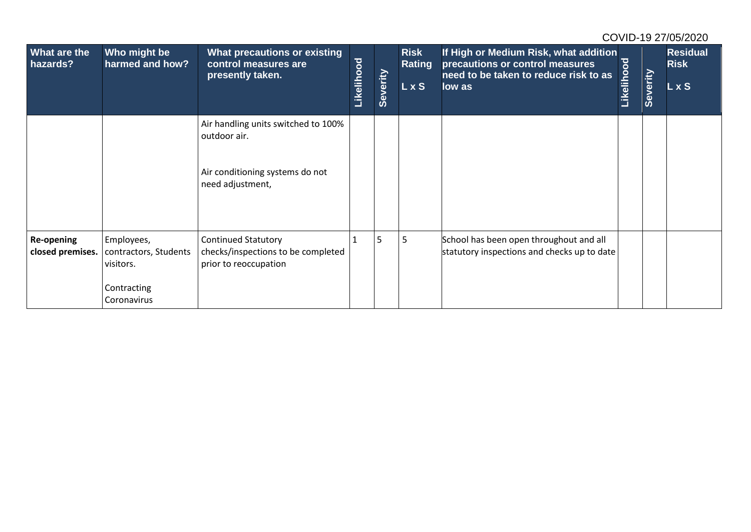| <b>What are the</b><br>hazards? | Who might be<br>harmed and how?                  | What precautions or existing<br>control measures are<br>presently taken.                  | Likelihood | Severity       | <b>Risk</b><br>Rating<br>L x S | If High or Medium Risk, what addition<br>precautions or control measures<br>need to be taken to reduce risk to as<br>low as | Likelihood | Severity | <b>Residual</b><br><b>Risk</b><br>L x S |
|---------------------------------|--------------------------------------------------|-------------------------------------------------------------------------------------------|------------|----------------|--------------------------------|-----------------------------------------------------------------------------------------------------------------------------|------------|----------|-----------------------------------------|
|                                 |                                                  | Air handling units switched to 100%<br>outdoor air.                                       |            |                |                                |                                                                                                                             |            |          |                                         |
|                                 |                                                  | Air conditioning systems do not<br>need adjustment,                                       |            |                |                                |                                                                                                                             |            |          |                                         |
| Re-opening<br>closed premises.  | Employees,<br>contractors, Students<br>visitors. | <b>Continued Statutory</b><br>checks/inspections to be completed<br>prior to reoccupation |            | 5 <sub>5</sub> | 5                              | School has been open throughout and all<br>statutory inspections and checks up to date                                      |            |          |                                         |
|                                 | Contracting<br>Coronavirus                       |                                                                                           |            |                |                                |                                                                                                                             |            |          |                                         |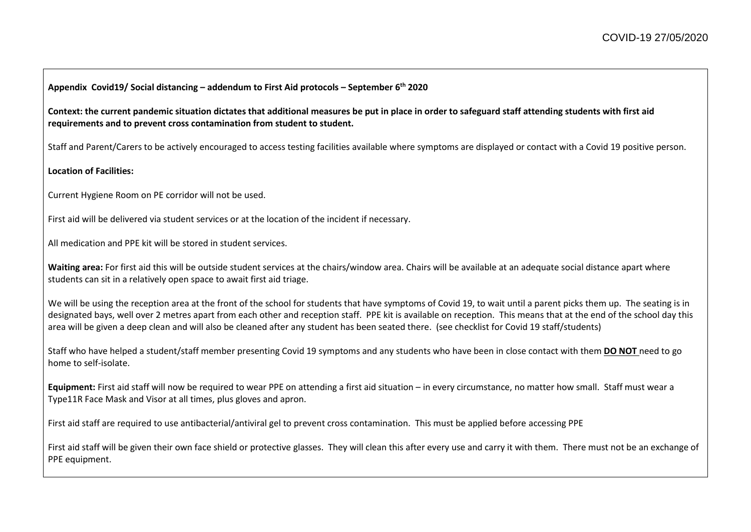**Appendix Covid19/ Social distancing – addendum to First Aid protocols – September 6th 2020**

**Context: the current pandemic situation dictates that additional measures be put in place in order to safeguard staff attending students with first aid requirements and to prevent cross contamination from student to student.**

Staff and Parent/Carers to be actively encouraged to access testing facilities available where symptoms are displayed or contact with a Covid 19 positive person.

**Location of Facilities:**

Current Hygiene Room on PE corridor will not be used.

First aid will be delivered via student services or at the location of the incident if necessary.

All medication and PPE kit will be stored in student services.

**Waiting area:** For first aid this will be outside student services at the chairs/window area. Chairs will be available at an adequate social distance apart where students can sit in a relatively open space to await first aid triage.

We will be using the reception area at the front of the school for students that have symptoms of Covid 19, to wait until a parent picks them up. The seating is in designated bays, well over 2 metres apart from each other and reception staff. PPE kit is available on reception. This means that at the end of the school day this area will be given a deep clean and will also be cleaned after any student has been seated there. (see checklist for Covid 19 staff/students)

Staff who have helped a student/staff member presenting Covid 19 symptoms and any students who have been in close contact with them **DO NOT** need to go home to self-isolate.

**Equipment:** First aid staff will now be required to wear PPE on attending a first aid situation – in every circumstance, no matter how small. Staff must wear a Type11R Face Mask and Visor at all times, plus gloves and apron.

First aid staff are required to use antibacterial/antiviral gel to prevent cross contamination. This must be applied before accessing PPE

First aid staff will be given their own face shield or protective glasses. They will clean this after every use and carry it with them. There must not be an exchange of PPE equipment.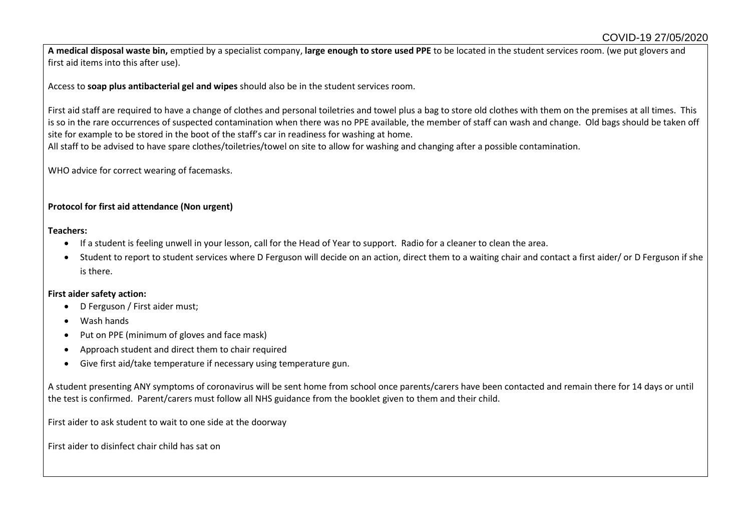**A medical disposal waste bin,** emptied by a specialist company, **large enough to store used PPE** to be located in the student services room. (we put glovers and first aid items into this after use).

Access to **soap plus antibacterial gel and wipes** should also be in the student services room.

First aid staff are required to have a change of clothes and personal toiletries and towel plus a bag to store old clothes with them on the premises at all times. This is so in the rare occurrences of suspected contamination when there was no PPE available, the member of staff can wash and change. Old bags should be taken off site for example to be stored in the boot of the staff's car in readiness for washing at home.

All staff to be advised to have spare clothes/toiletries/towel on site to allow for washing and changing after a possible contamination.

WHO advice for correct wearing of facemasks.

#### **Protocol for first aid attendance (Non urgent)**

#### **Teachers:**

- If a student is feeling unwell in your lesson, call for the Head of Year to support. Radio for a cleaner to clean the area.
- Student to report to student services where D Ferguson will decide on an action, direct them to a waiting chair and contact a first aider/ or D Ferguson if she is there.

#### **First aider safety action:**

- D Ferguson / First aider must;
- Wash hands
- Put on PPE (minimum of gloves and face mask)
- Approach student and direct them to chair required
- Give first aid/take temperature if necessary using temperature gun.

A student presenting ANY symptoms of coronavirus will be sent home from school once parents/carers have been contacted and remain there for 14 days or until the test is confirmed. Parent/carers must follow all NHS guidance from the booklet given to them and their child.

First aider to ask student to wait to one side at the doorway

First aider to disinfect chair child has sat on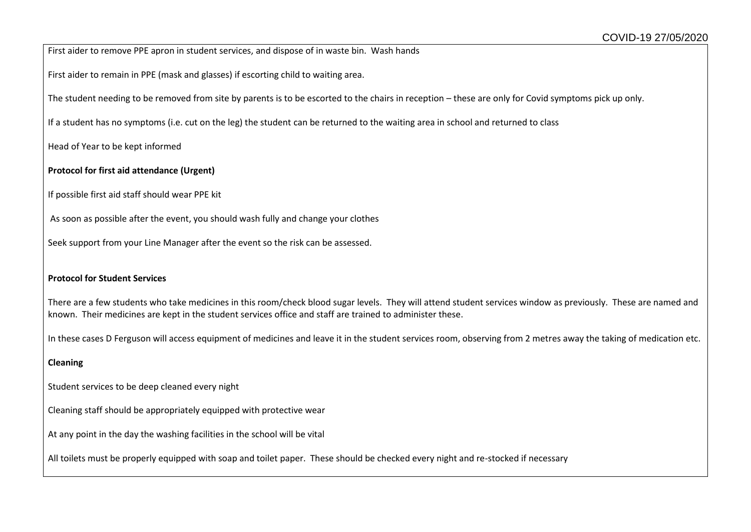First aider to remove PPE apron in student services, and dispose of in waste bin. Wash hands

First aider to remain in PPE (mask and glasses) if escorting child to waiting area.

The student needing to be removed from site by parents is to be escorted to the chairs in reception – these are only for Covid symptoms pick up only.

If a student has no symptoms (i.e. cut on the leg) the student can be returned to the waiting area in school and returned to class

Head of Year to be kept informed

#### **Protocol for first aid attendance (Urgent)**

If possible first aid staff should wear PPE kit

As soon as possible after the event, you should wash fully and change your clothes

Seek support from your Line Manager after the event so the risk can be assessed.

#### **Protocol for Student Services**

There are a few students who take medicines in this room/check blood sugar levels. They will attend student services window as previously. These are named and known. Their medicines are kept in the student services office and staff are trained to administer these.

In these cases D Ferguson will access equipment of medicines and leave it in the student services room, observing from 2 metres away the taking of medication etc.

#### **Cleaning**

Student services to be deep cleaned every night

Cleaning staff should be appropriately equipped with protective wear

At any point in the day the washing facilities in the school will be vital

All toilets must be properly equipped with soap and toilet paper. These should be checked every night and re-stocked if necessary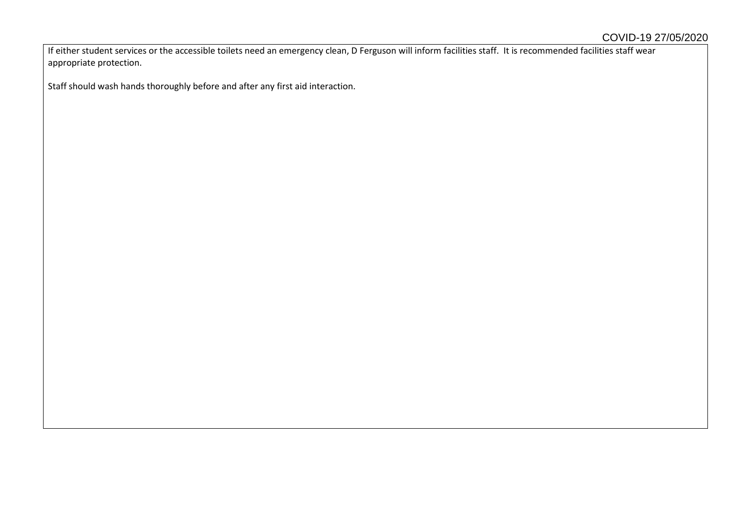If either student services or the accessible toilets need an emergency clean, D Ferguson will inform facilities staff. It is recommended facilities staff wear appropriate protection.

Staff should wash hands thoroughly before and after any first aid interaction.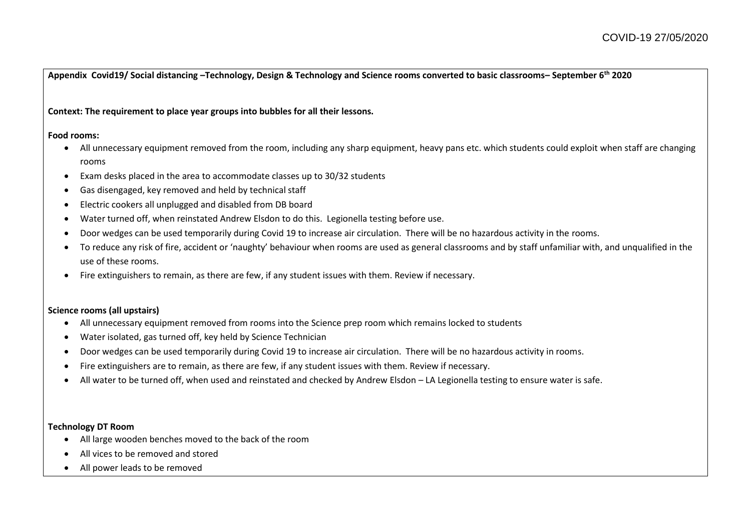**Appendix Covid19/ Social distancing –Technology, Design & Technology and Science rooms converted to basic classrooms– September 6th 2020**

#### **Context: The requirement to place year groups into bubbles for all their lessons.**

#### **Food rooms:**

- All unnecessary equipment removed from the room, including any sharp equipment, heavy pans etc. which students could exploit when staff are changing rooms
- Exam desks placed in the area to accommodate classes up to 30/32 students
- Gas disengaged, key removed and held by technical staff
- Electric cookers all unplugged and disabled from DB board
- Water turned off, when reinstated Andrew Elsdon to do this. Legionella testing before use.
- Door wedges can be used temporarily during Covid 19 to increase air circulation. There will be no hazardous activity in the rooms.
- To reduce any risk of fire, accident or 'naughty' behaviour when rooms are used as general classrooms and by staff unfamiliar with, and unqualified in the use of these rooms.
- Fire extinguishers to remain, as there are few, if any student issues with them. Review if necessary.

#### **Science rooms (all upstairs)**

- All unnecessary equipment removed from rooms into the Science prep room which remains locked to students
- Water isolated, gas turned off, key held by Science Technician
- Door wedges can be used temporarily during Covid 19 to increase air circulation. There will be no hazardous activity in rooms.
- Fire extinguishers are to remain, as there are few, if any student issues with them. Review if necessary.
- All water to be turned off, when used and reinstated and checked by Andrew Elsdon LA Legionella testing to ensure water is safe.

#### **Technology DT Room**

- All large wooden benches moved to the back of the room
- All vices to be removed and stored
- All power leads to be removed